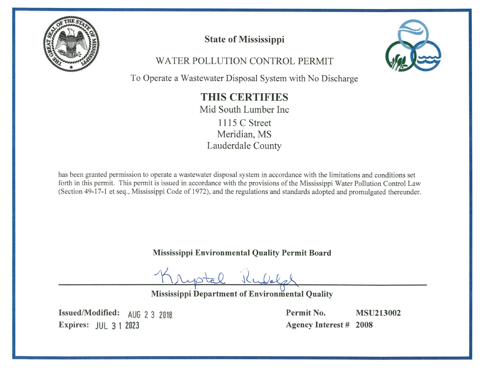

## **State of Mississippi**

WATER POLLUTION CONTROL PERMIT



To Operate a Wastewater Disposal System with No Discharge

# **THIS CERTIFIES**

Mid South Lumber Inc

1115 C Street Meridian, MS Lauderdale County

has been granted permission to operate a wastewater disposal system in accordance with the limitations and conditions set forth in this permit. This permit is issued in accordance with the provisions of the Mississippi Water Pollution Control Law (Section 49-17-1 et seq., Mississippi Code of 1972), and the regulations and standards adopted and promulgated thereunder.

**Mississippi Environmental Quality Permit Board** 

**Mississippi Department of Environmental Quality** 

Issued/Modified: AUG 2 3 2018 Expires: JUL 3 1 2023

Permit No. **MSU213002 Agency Interest # 2008**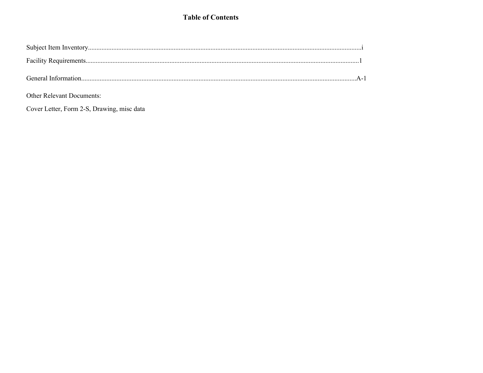## **Table of Contents**

Other Relevant Documents:

Cover Letter, Form 2-S, Drawing, misc data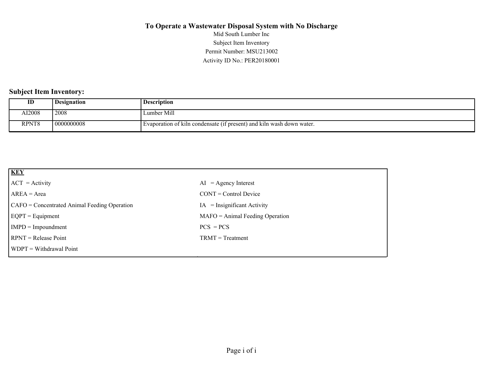Activity ID No.: PER20180001 Permit Number: MSU213002 Subject Item Inventory Mid South Lumber Inc

#### **Subject Item Inventory:**

| ID            | <b>Designation</b> | <b>Description</b>                                                    |
|---------------|--------------------|-----------------------------------------------------------------------|
| <b>AI2008</b> | 2008               | Lumber Mill                                                           |
| RPNT8         | 0000000008         | Evaporation of kiln condensate (if present) and kiln wash down water. |

| <b>KEY</b>                                   |                                   |
|----------------------------------------------|-----------------------------------|
| $ ACT = Activity$                            | $AI = Agency Interest$            |
| $AREA = Area$                                | $CONT = Control$ Device           |
| CAFO = Concentrated Animal Feeding Operation | $IA = Insignificant Activity$     |
| $EQPT = Equipment$                           | $MAFO = Animal Feeding Operation$ |
| $IMPD = Impoundment$                         | $PCS = PCs$                       |
| $RPNT = Release Point$                       | $TRMT = Treatment$                |
| $WDPT = Without$ Withdrawal Point            |                                   |
|                                              |                                   |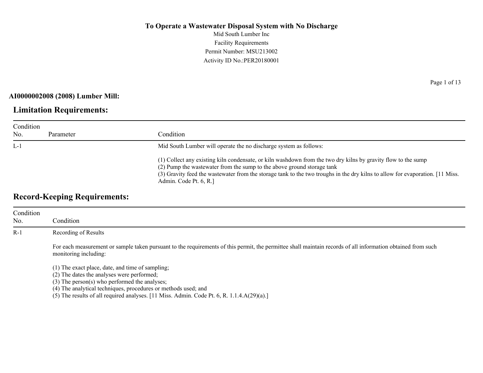Mid South Lumber Inc Facility Requirements Permit Number: MSU213002 Activity ID No.:PER20180001

#### **AI0000002008 (2008) Lumber Mill:**

## **Limitation Requirements:**

| Condition |           |                                                                                                                                                                                                                                                                                                                                                    |  |
|-----------|-----------|----------------------------------------------------------------------------------------------------------------------------------------------------------------------------------------------------------------------------------------------------------------------------------------------------------------------------------------------------|--|
| No.       | Parameter | Condition                                                                                                                                                                                                                                                                                                                                          |  |
| $L-1$     |           | Mid South Lumber will operate the no discharge system as follows:                                                                                                                                                                                                                                                                                  |  |
|           |           | (1) Collect any existing kiln condensate, or kiln washdown from the two dry kilns by gravity flow to the sump<br>(2) Pump the wastewater from the sump to the above ground storage tank<br>(3) Gravity feed the wastewater from the storage tank to the two troughs in the dry kilns to allow for evaporation. [11 Miss.]<br>Admin. Code Pt. 6, R. |  |

## **Record-Keeping Requirements:**

| Condition<br>No. | Condition                                                                                                                                                                                                                                                                                                                |
|------------------|--------------------------------------------------------------------------------------------------------------------------------------------------------------------------------------------------------------------------------------------------------------------------------------------------------------------------|
| $R-1$            | Recording of Results                                                                                                                                                                                                                                                                                                     |
|                  | For each measurement or sample taken pursuant to the requirements of this permit, the permittee shall maintain records of all information obtained from such<br>monitoring including:                                                                                                                                    |
|                  | (1) The exact place, date, and time of sampling;<br>(2) The dates the analyses were performed;<br>$(3)$ The person $(s)$ who performed the analyses;<br>(4) The analytical techniques, procedures or methods used; and<br>(5) The results of all required analyses. [11 Miss. Admin. Code Pt. 6, R. 1.1.4.A $(29)(a)$ .] |

Page 1 of 13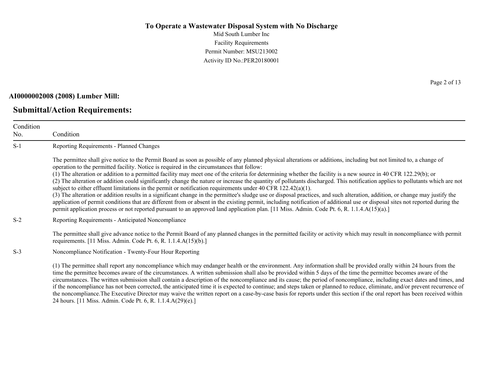Mid South Lumber Inc Facility Requirements Permit Number: MSU213002 Activity ID No.:PER20180001

#### **AI0000002008 (2008) Lumber Mill:**

#### **Submittal/Action Requirements:**

Condition No. Condition S-1 Reporting Requirements - Planned Changes The permittee shall give notice to the Permit Board as soon as possible of any planned physical alterations or additions, including but not limited to, a change of operation to the permitted facility. Notice is required in the circumstances that follow: (1) The alteration or addition to a permitted facility may meet one of the criteria for determining whether the facility is a new source in 40 CFR 122.29(b); or (2) The alteration or addition could significantly change the nature or increase the quantity of pollutants discharged. This notification applies to pollutants which are not subject to either effluent limitations in the permit or notification requirements under 40 CFR 122.42(a)(1). (3) The alteration or addition results in a significant change in the permittee's sludge use or disposal practices, and such alteration, addition, or change may justify the application of permit conditions that are different from or absent in the existing permit, including notification of additional use or disposal sites not reported during the permit application process or not reported pursuant to an approved land application plan. [11 Miss. Admin. Code Pt. 6, R. 1.1.4.A(15)(a).] S-2 Reporting Requirements - Anticipated Noncompliance The permittee shall give advance notice to the Permit Board of any planned changes in the permitted facility or activity which may result in noncompliance with permit requirements. [11 Miss. Admin. Code Pt. 6, R. 1.1.4.A(15)(b).] S-3 Noncompliance Notification - Twenty-Four Hour Reporting (1) The permittee shall report any noncompliance which may endanger health or the environment. Any information shall be provided orally within 24 hours from the time the permittee becomes aware of the circumstances. A written submission shall also be provided within 5 days of the time the permittee becomes aware of the circumstances. The written submission shall contain a description of the noncompliance and its cause; the period of noncompliance, including exact dates and times, and if the noncompliance has not been corrected, the anticipated time it is expected to continue; and steps taken or planned to reduce, eliminate, and/or prevent recurrence of the noncompliance.The Executive Director may waive the written report on a case-by-case basis for reports under this section if the oral report has been received within

24 hours. [11 Miss. Admin. Code Pt. 6, R. 1.1.4.A(29)(e).]

Page 2 of 13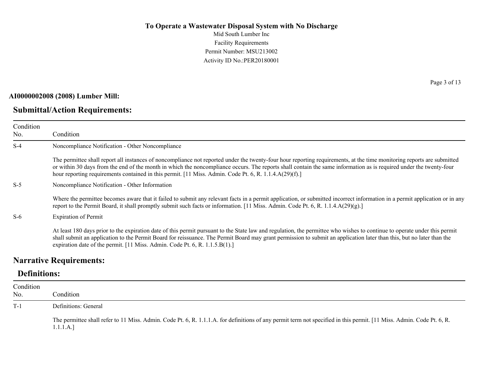Mid South Lumber Inc Facility Requirements Permit Number: MSU213002 Activity ID No.:PER20180001

#### **AI0000002008 (2008) Lumber Mill:**

## **Submittal/Action Requirements:**

Page 3 of 13

| Condition<br>No. | Condition                                                                                                                                                                                                                                                                                                                                                                                                                                              |
|------------------|--------------------------------------------------------------------------------------------------------------------------------------------------------------------------------------------------------------------------------------------------------------------------------------------------------------------------------------------------------------------------------------------------------------------------------------------------------|
| $S-4$            | Noncompliance Notification - Other Noncompliance                                                                                                                                                                                                                                                                                                                                                                                                       |
|                  | The permittee shall report all instances of noncompliance not reported under the twenty-four hour reporting requirements, at the time monitoring reports are submitted<br>or within 30 days from the end of the month in which the noncompliance occurs. The reports shall contain the same information as is required under the twenty-four<br>hour reporting requirements contained in this permit. [11 Miss. Admin. Code Pt. 6, R. 1.1.4.A(29)(f).] |
| $S-5$            | Noncompliance Notification - Other Information                                                                                                                                                                                                                                                                                                                                                                                                         |
|                  | Where the permittee becomes aware that it failed to submit any relevant facts in a permit application, or submitted incorrect information in a permit application or in any<br>report to the Permit Board, it shall promptly submit such facts or information. [11 Miss. Admin. Code Pt. 6, R. 1.1.4.A(29)(g).]                                                                                                                                        |
| $S-6$            | <b>Expiration of Permit</b>                                                                                                                                                                                                                                                                                                                                                                                                                            |
|                  | At least 180 days prior to the expiration date of this permit pursuant to the State law and regulation, the permittee who wishes to continue to operate under this permit<br>shall submit an application to the Permit Board for reissuance. The Permit Board may grant permission to submit an application later than this, but no later than the<br>expiration date of the permit. [11 Miss. Admin. Code Pt. 6, R. 1.1.5.B(1).]                      |

### **Narrative Requirements:**

## **Definitions:**

| Condition<br>No. | Condition                                                                                                                                                                          |
|------------------|------------------------------------------------------------------------------------------------------------------------------------------------------------------------------------|
| $T-1$            | Definitions: General                                                                                                                                                               |
|                  | The permittee shall refer to 11 Miss. Admin. Code Pt. 6, R. 1.1.1.A. for definitions of any permit term not specified in this permit. [11 Miss. Admin. Code Pt. 6, R.<br>1.1.1.A.] |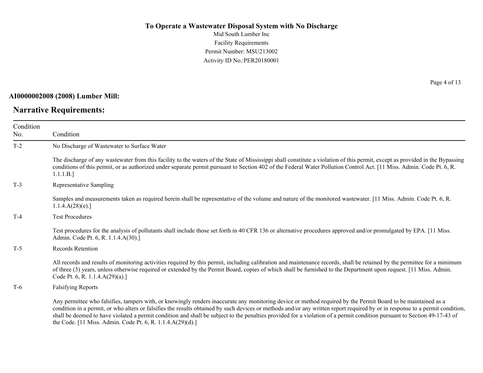Mid South Lumber Inc Facility Requirements Permit Number: MSU213002 Activity ID No.:PER20180001

#### **AI0000002008 (2008) Lumber Mill:**

## **Narrative Requirements:**

Page 4 of 13

| Condition<br>No. | Condition                                                                                                                                                                                                                                                                                                                                                                                                                                                                                                                                                                                |
|------------------|------------------------------------------------------------------------------------------------------------------------------------------------------------------------------------------------------------------------------------------------------------------------------------------------------------------------------------------------------------------------------------------------------------------------------------------------------------------------------------------------------------------------------------------------------------------------------------------|
| $T-2$            | No Discharge of Wastewater to Surface Water                                                                                                                                                                                                                                                                                                                                                                                                                                                                                                                                              |
|                  | The discharge of any wastewater from this facility to the waters of the State of Mississippi shall constitute a violation of this permit, except as provided in the Bypassing<br>conditions of this permit, or as authorized under separate permit pursuant to Section 402 of the Federal Water Pollution Control Act. [11 Miss. Admin. Code Pt. 6, R.<br>1.1.1.B.]                                                                                                                                                                                                                      |
| $T-3$            | Representative Sampling                                                                                                                                                                                                                                                                                                                                                                                                                                                                                                                                                                  |
|                  | Samples and measurements taken as required herein shall be representative of the volume and nature of the monitored wastewater. [11 Miss. Admin. Code Pt. 6, R.<br>1.1.4.A(28)(e).                                                                                                                                                                                                                                                                                                                                                                                                       |
| $T-4$            | <b>Test Procedures</b>                                                                                                                                                                                                                                                                                                                                                                                                                                                                                                                                                                   |
|                  | Test procedures for the analysis of pollutants shall include those set forth in 40 CFR 136 or alternative procedures approved and/or promulgated by EPA. [11 Miss.]<br>Admin. Code Pt. 6, R. 1.1.4.A(30).]                                                                                                                                                                                                                                                                                                                                                                               |
| $T-5$            | <b>Records Retention</b>                                                                                                                                                                                                                                                                                                                                                                                                                                                                                                                                                                 |
|                  | All records and results of monitoring activities required by this permit, including calibration and maintenance records, shall be retained by the permittee for a minimum<br>of three (3) years, unless otherwise required or extended by the Permit Board, copies of which shall be furnished to the Department upon request. [11 Miss. Admin.<br>Code Pt. 6, R. 1.1.4.A(29)(a).]                                                                                                                                                                                                       |
| $T-6$            | <b>Falsifying Reports</b>                                                                                                                                                                                                                                                                                                                                                                                                                                                                                                                                                                |
|                  | Any permittee who falsifies, tampers with, or knowingly renders inaccurate any monitoring device or method required by the Permit Board to be maintained as a<br>condition in a permit, or who alters or falsifies the results obtained by such devices or methods and/or any written report required by or in response to a permit condition,<br>shall be deemed to have violated a permit condition and shall be subject to the penalties provided for a violation of a permit condition pursuant to Section 49-17-43 of<br>the Code. [11 Miss. Admin. Code Pt. 6, R. 1.1.4.A(29)(d).] |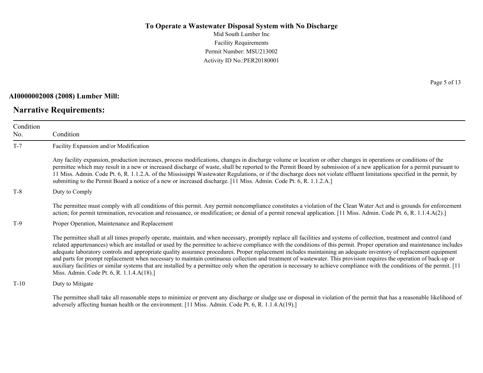Mid South Lumber Inc Facility Requirements Permit Number: MSU213002 Activity ID No.:PER20180001

#### **AI0000002008 (2008) Lumber Mill:**

## **Narrative Requirements:**

Page 5 of 13

| Condition<br>No. | Condition                                                                                                                                                                                                                                                                                                                                                                                                                                                                                                                                                                                                                                                                                                                                                                                                                                                                                                                 |
|------------------|---------------------------------------------------------------------------------------------------------------------------------------------------------------------------------------------------------------------------------------------------------------------------------------------------------------------------------------------------------------------------------------------------------------------------------------------------------------------------------------------------------------------------------------------------------------------------------------------------------------------------------------------------------------------------------------------------------------------------------------------------------------------------------------------------------------------------------------------------------------------------------------------------------------------------|
| $T-7$            | Facility Expansion and/or Modification                                                                                                                                                                                                                                                                                                                                                                                                                                                                                                                                                                                                                                                                                                                                                                                                                                                                                    |
|                  | Any facility expansion, production increases, process modifications, changes in discharge volume or location or other changes in operations or conditions of the<br>permittee which may result in a new or increased discharge of waste, shall be reported to the Permit Board by submission of a new application for a permit pursuant to<br>11 Miss. Admin. Code Pt. 6, R. 1.1.2.A. of the Mississippi Wastewater Regulations, or if the discharge does not violate effluent limitations specified in the permit, by<br>submitting to the Permit Board a notice of a new or increased discharge. [11 Miss. Admin. Code Pt. 6, R. 1.1.2.A.]                                                                                                                                                                                                                                                                              |
| $T-8$            | Duty to Comply                                                                                                                                                                                                                                                                                                                                                                                                                                                                                                                                                                                                                                                                                                                                                                                                                                                                                                            |
|                  | The permittee must comply with all conditions of this permit. Any permit noncompliance constitutes a violation of the Clean Water Act and is grounds for enforcement<br>action; for permit termination, revocation and reissuance, or modification; or denial of a permit renewal application. [11 Miss. Admin. Code Pt. 6, R. 1.1.4.A(2).]                                                                                                                                                                                                                                                                                                                                                                                                                                                                                                                                                                               |
| $T-9$            | Proper Operation, Maintenance and Replacement                                                                                                                                                                                                                                                                                                                                                                                                                                                                                                                                                                                                                                                                                                                                                                                                                                                                             |
|                  | The permittee shall at all times properly operate, maintain, and when necessary, promptly replace all facilities and systems of collection, treatment and control (and<br>related appurtenances) which are installed or used by the permittee to achieve compliance with the conditions of this permit. Proper operation and maintenance includes<br>adequate laboratory controls and appropriate quality assurance procedures. Proper replacement includes maintaining an adequate inventory of replacement equipment<br>and parts for prompt replacement when necessary to maintain continuous collection and treatment of wastewater. This provision requires the operation of back-up or<br>auxiliary facilities or similar systems that are installed by a permittee only when the operation is necessary to achieve compliance with the conditions of the permit. [11]<br>Miss. Admin. Code Pt. 6, R. 1.1.4.A(18).] |
| $T-10$           | Duty to Mitigate                                                                                                                                                                                                                                                                                                                                                                                                                                                                                                                                                                                                                                                                                                                                                                                                                                                                                                          |
|                  | The permittee shall take all reasonable steps to minimize or prevent any discharge or sludge use or disposal in violation of the permit that has a reasonable likelihood of                                                                                                                                                                                                                                                                                                                                                                                                                                                                                                                                                                                                                                                                                                                                               |

adversely affecting human health or the environment. [11 Miss. Admin. Code Pt. 6, R. 1.1.4.A(19).]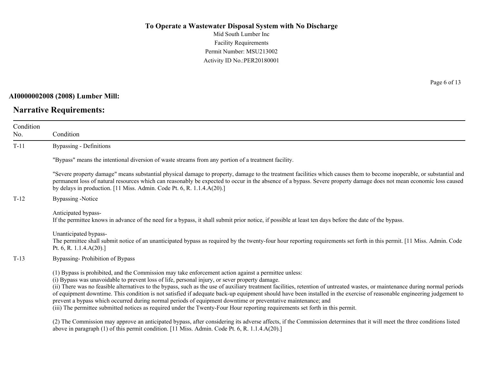Mid South Lumber Inc Facility Requirements Permit Number: MSU213002 Activity ID No.:PER20180001

#### **AI0000002008 (2008) Lumber Mill:**

## **Narrative Requirements:**

Page 6 of 13

| Condition<br>No. | Condition                                                                                                                                                                                                                                                                                                                                                                                                                                                                                                                                                                                                                                                                                                                                                                                                          |
|------------------|--------------------------------------------------------------------------------------------------------------------------------------------------------------------------------------------------------------------------------------------------------------------------------------------------------------------------------------------------------------------------------------------------------------------------------------------------------------------------------------------------------------------------------------------------------------------------------------------------------------------------------------------------------------------------------------------------------------------------------------------------------------------------------------------------------------------|
| $T-11$           | Bypassing - Definitions                                                                                                                                                                                                                                                                                                                                                                                                                                                                                                                                                                                                                                                                                                                                                                                            |
|                  | "Bypass" means the intentional diversion of waste streams from any portion of a treatment facility.                                                                                                                                                                                                                                                                                                                                                                                                                                                                                                                                                                                                                                                                                                                |
|                  | "Severe property damage" means substantial physical damage to property, damage to the treatment facilities which causes them to become inoperable, or substantial and<br>permanent loss of natural resources which can reasonably be expected to occur in the absence of a bypass. Severe property damage does not mean economic loss caused<br>by delays in production. [11 Miss. Admin. Code Pt. 6, R. 1.1.4.A(20).]                                                                                                                                                                                                                                                                                                                                                                                             |
| $T-12$           | <b>Bypassing -Notice</b>                                                                                                                                                                                                                                                                                                                                                                                                                                                                                                                                                                                                                                                                                                                                                                                           |
|                  | Anticipated bypass-<br>If the permittee knows in advance of the need for a bypass, it shall submit prior notice, if possible at least ten days before the date of the bypass.                                                                                                                                                                                                                                                                                                                                                                                                                                                                                                                                                                                                                                      |
|                  | Unanticipated bypass-<br>The permittee shall submit notice of an unanticipated bypass as required by the twenty-four hour reporting requirements set forth in this permit. [11 Miss. Admin. Code<br>Pt. 6, R. $1.1.4.A(20).$                                                                                                                                                                                                                                                                                                                                                                                                                                                                                                                                                                                       |
| $T-13$           | Bypassing-Prohibition of Bypass                                                                                                                                                                                                                                                                                                                                                                                                                                                                                                                                                                                                                                                                                                                                                                                    |
|                  | (1) Bypass is prohibited, and the Commission may take enforcement action against a permittee unless:<br>(i) Bypass was unavoidable to prevent loss of life, personal injury, or sever property damage.<br>(ii) There was no feasible alternatives to the bypass, such as the use of auxiliary treatment facilities, retention of untreated wastes, or maintenance during normal periods<br>of equipment downtime. This condition is not satisfied if adequate back-up equipment should have been installed in the exercise of reasonable engineering judgement to<br>prevent a bypass which occurred during normal periods of equipment downtime or preventative maintenance; and<br>(iii) The permittee submitted notices as required under the Twenty-Four Hour reporting requirements set forth in this permit. |
|                  | (2) The Commission may approve an anticipated bypass, after considering its adverse affects, if the Commission determines that it will meet the three conditions listed                                                                                                                                                                                                                                                                                                                                                                                                                                                                                                                                                                                                                                            |

above in paragraph (1) of this permit condition. [11 Miss. Admin. Code Pt. 6, R. 1.1.4.A(20).]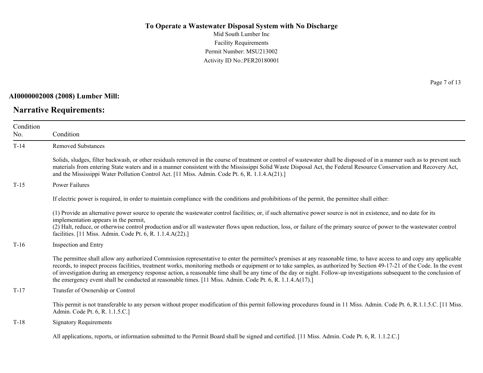Mid South Lumber Inc Facility Requirements Permit Number: MSU213002 Activity ID No.:PER20180001

#### **AI0000002008 (2008) Lumber Mill:**

## **Narrative Requirements:**

Page 7 of 13

| Condition |                                                                                                                                                                                                                                                                                                                                                                                                                                                                                                                                                                                                                                            |
|-----------|--------------------------------------------------------------------------------------------------------------------------------------------------------------------------------------------------------------------------------------------------------------------------------------------------------------------------------------------------------------------------------------------------------------------------------------------------------------------------------------------------------------------------------------------------------------------------------------------------------------------------------------------|
| No.       | Condition                                                                                                                                                                                                                                                                                                                                                                                                                                                                                                                                                                                                                                  |
| $T-14$    | <b>Removed Substances</b>                                                                                                                                                                                                                                                                                                                                                                                                                                                                                                                                                                                                                  |
|           | Solids, sludges, filter backwash, or other residuals removed in the course of treatment or control of wastewater shall be disposed of in a manner such as to prevent such<br>materials from entering State waters and in a manner consistent with the Mississippi Solid Waste Disposal Act, the Federal Resource Conservation and Recovery Act,<br>and the Mississippi Water Pollution Control Act. [11 Miss. Admin. Code Pt. 6, R. 1.1.4.A(21).]                                                                                                                                                                                          |
| $T-15$    | Power Failures                                                                                                                                                                                                                                                                                                                                                                                                                                                                                                                                                                                                                             |
|           | If electric power is required, in order to maintain compliance with the conditions and prohibitions of the permit, the permittee shall either:                                                                                                                                                                                                                                                                                                                                                                                                                                                                                             |
|           | (1) Provide an alternative power source to operate the wastewater control facilities; or, if such alternative power source is not in existence, and no date for its<br>implementation appears in the permit,                                                                                                                                                                                                                                                                                                                                                                                                                               |
|           | (2) Halt, reduce, or otherwise control production and/or all wastewater flows upon reduction, loss, or failure of the primary source of power to the wastewater control<br>facilities. [11 Miss. Admin. Code Pt. 6, R. 1.1.4.A(22).]                                                                                                                                                                                                                                                                                                                                                                                                       |
| $T-16$    | Inspection and Entry                                                                                                                                                                                                                                                                                                                                                                                                                                                                                                                                                                                                                       |
|           | The permittee shall allow any authorized Commission representative to enter the permittee's premises at any reasonable time, to have access to and copy any applicable<br>records, to inspect process facilities, treatment works, monitoring methods or equipment or to take samples, as authorized by Section 49-17-21 of the Code. In the event<br>of investigation during an emergency response action, a reasonable time shall be any time of the day or night. Follow-up investigations subsequent to the conclusion of<br>the emergency event shall be conducted at reasonable times. [11 Miss. Admin. Code Pt. 6, R. 1.1.4.A(17).] |
| $T-17$    | Transfer of Ownership or Control                                                                                                                                                                                                                                                                                                                                                                                                                                                                                                                                                                                                           |
|           | This permit is not transferable to any person without proper modification of this permit following procedures found in 11 Miss. Admin. Code Pt. 6, R.1.1.5.C. [11 Miss.<br>Admin. Code Pt. 6, R. 1.1.5.C.]                                                                                                                                                                                                                                                                                                                                                                                                                                 |
| $T-18$    | <b>Signatory Requirements</b>                                                                                                                                                                                                                                                                                                                                                                                                                                                                                                                                                                                                              |
|           | All applications, reports, or information submitted to the Permit Board shall be signed and certified. [11 Miss. Admin. Code Pt. 6, R. 1.1.2.C.]                                                                                                                                                                                                                                                                                                                                                                                                                                                                                           |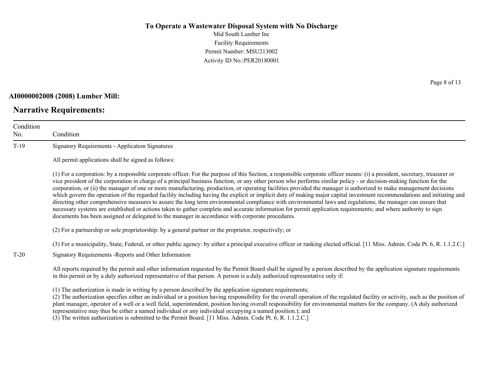Mid South Lumber Inc Facility Requirements Permit Number: MSU213002 Activity ID No.:PER20180001

#### **AI0000002008 (2008) Lumber Mill:**

## **Narrative Requirements:**

Page 8 of 13

| Condition<br>No. | Condition                                                                                                                                                                                                                                                                                                                                                                                                                                                                                                                                                                                                                                                                                                                                                                                                                                                                                                                                                                                                                                                                                                                                   |
|------------------|---------------------------------------------------------------------------------------------------------------------------------------------------------------------------------------------------------------------------------------------------------------------------------------------------------------------------------------------------------------------------------------------------------------------------------------------------------------------------------------------------------------------------------------------------------------------------------------------------------------------------------------------------------------------------------------------------------------------------------------------------------------------------------------------------------------------------------------------------------------------------------------------------------------------------------------------------------------------------------------------------------------------------------------------------------------------------------------------------------------------------------------------|
| $T-19$           | <b>Signatory Requirements - Application Signatures</b>                                                                                                                                                                                                                                                                                                                                                                                                                                                                                                                                                                                                                                                                                                                                                                                                                                                                                                                                                                                                                                                                                      |
|                  | All permit applications shall be signed as follows:                                                                                                                                                                                                                                                                                                                                                                                                                                                                                                                                                                                                                                                                                                                                                                                                                                                                                                                                                                                                                                                                                         |
|                  | (1) For a corporation: by a responsible corporate officer. For the purpose of this Section, a responsible corporate officer means: (i) a president, secretary, treasurer or<br>vice president of the corporation in charge of a principal business function, or any other person who performs similar policy - or decision-making function for the<br>corporation, or (ii) the manager of one or more manufacturing, production, or operating facilities provided the manager is authorized to make management decisions<br>which govern the operation of the regarded facility including having the explicit or implicit duty of making major capital investment recommendations and initiating and<br>directing other comprehensive measures to assure the long term environmental compliance with environmental laws and regulations; the manager can ensure that<br>necessary systems are established or actions taken to gather complete and accurate information for permit application requirements; and where authority to sign<br>documents has been assigned or delegated to the manager in accordance with corporate procedures. |
|                  | (2) For a partnership or sole proprietorship: by a general partner or the proprietor, respectively; or                                                                                                                                                                                                                                                                                                                                                                                                                                                                                                                                                                                                                                                                                                                                                                                                                                                                                                                                                                                                                                      |
|                  | (3) For a municipality, State, Federal, or other public agency: by either a principal executive officer or ranking elected official. [11 Miss. Admin. Code Pt. 6, R. 1.1.2.C.]                                                                                                                                                                                                                                                                                                                                                                                                                                                                                                                                                                                                                                                                                                                                                                                                                                                                                                                                                              |
| $T-20$           | Signatory Requirements - Reports and Other Information                                                                                                                                                                                                                                                                                                                                                                                                                                                                                                                                                                                                                                                                                                                                                                                                                                                                                                                                                                                                                                                                                      |
|                  | All reports required by the permit and other information requested by the Permit Board shall be signed by a person described by the application signature requirements<br>in this permit or by a duly authorized representative of that person. A person is a duly authorized representative only if:                                                                                                                                                                                                                                                                                                                                                                                                                                                                                                                                                                                                                                                                                                                                                                                                                                       |
|                  | (1) The authorization is made in writing by a person described by the application signature requirements;<br>(2) The authorization specifies either an individual or a position having responsibility for the overall operation of the regulated facility or activity, such as the position of<br>plant manager, operator of a well or a well field, superintendent, position having overall responsibility for environmental matters for the company. (A duly authorized<br>representative may thus be either a named individual or any individual occupying a named position.); and                                                                                                                                                                                                                                                                                                                                                                                                                                                                                                                                                       |

(3) The written authorization is submitted to the Permit Board. [11 Miss. Admin. Code Pt. 6, R. 1.1.2.C.]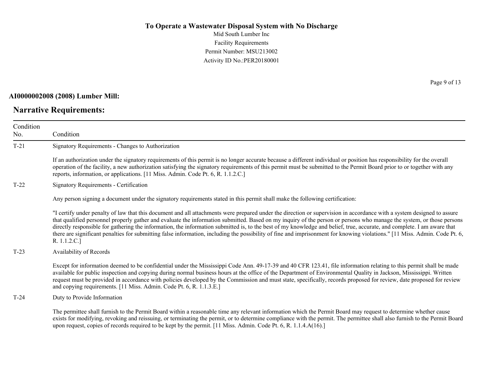Mid South Lumber Inc Facility Requirements Permit Number: MSU213002 Activity ID No.:PER20180001

#### **AI0000002008 (2008) Lumber Mill:**

## **Narrative Requirements:**

Page 9 of 13

| Condition<br>No. | Condition                                                                                                                                                                                                                                                                                                                                                                                                                                                                                                                                                                                                                                                                                                                |
|------------------|--------------------------------------------------------------------------------------------------------------------------------------------------------------------------------------------------------------------------------------------------------------------------------------------------------------------------------------------------------------------------------------------------------------------------------------------------------------------------------------------------------------------------------------------------------------------------------------------------------------------------------------------------------------------------------------------------------------------------|
| $T-21$           | Signatory Requirements - Changes to Authorization                                                                                                                                                                                                                                                                                                                                                                                                                                                                                                                                                                                                                                                                        |
|                  | If an authorization under the signatory requirements of this permit is no longer accurate because a different individual or position has responsibility for the overall<br>operation of the facility, a new authorization satisfying the signatory requirements of this permit must be submitted to the Permit Board prior to or together with any<br>reports, information, or applications. [11 Miss. Admin. Code Pt. 6, R. 1.1.2.C.]                                                                                                                                                                                                                                                                                   |
| $T-22$           | Signatory Requirements - Certification                                                                                                                                                                                                                                                                                                                                                                                                                                                                                                                                                                                                                                                                                   |
|                  | Any person signing a document under the signatory requirements stated in this permit shall make the following certification:                                                                                                                                                                                                                                                                                                                                                                                                                                                                                                                                                                                             |
|                  | "I certify under penalty of law that this document and all attachments were prepared under the direction or supervision in accordance with a system designed to assure<br>that qualified personnel properly gather and evaluate the information submitted. Based on my inquiry of the person or persons who manage the system, or those persons<br>directly responsible for gathering the information, the information submitted is, to the best of my knowledge and belief, true, accurate, and complete. I am aware that<br>there are significant penalties for submitting false information, including the possibility of fine and imprisonment for knowing violations." [11 Miss. Admin. Code Pt. 6,<br>R. 1.1.2.C.] |
| $T-23$           | Availability of Records                                                                                                                                                                                                                                                                                                                                                                                                                                                                                                                                                                                                                                                                                                  |
|                  | Except for information deemed to be confidential under the Mississippi Code Ann. 49-17-39 and 40 CFR 123.41, file information relating to this permit shall be made<br>available for public inspection and copying during normal business hours at the office of the Department of Environmental Quality in Jackson, Mississippi. Written<br>request must be provided in accordance with policies developed by the Commission and must state, specifically, records proposed for review, date proposed for review<br>and copying requirements. [11 Miss. Admin. Code Pt. 6, R. 1.1.3.E.]                                                                                                                                 |
| $T-24$           | Duty to Provide Information                                                                                                                                                                                                                                                                                                                                                                                                                                                                                                                                                                                                                                                                                              |
|                  | The permittee shall furnish to the Permit Board within a reasonable time any relevant information which the Permit Board may request to determine whether cause<br>exists for modifying, revoking and reissuing, or terminating the permit, or to determine compliance with the permit. The permittee shall also furnish to the Permit Board<br>upon request, copies of records required to be kept by the permit. [11 Miss. Admin. Code Pt. 6, R. 1.1.4.A(16).]                                                                                                                                                                                                                                                         |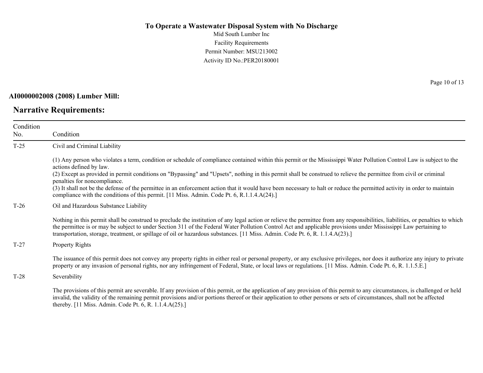Mid South Lumber Inc Facility Requirements Permit Number: MSU213002 Activity ID No.:PER20180001

#### **AI0000002008 (2008) Lumber Mill:**

#### **Narrative Requirements:**

Condition No. Condition T-25 Civil and Criminal Liability (1) Any person who violates a term, condition or schedule of compliance contained within this permit or the Mississippi Water Pollution Control Law is subject to the actions defined by law. (2) Except as provided in permit conditions on "Bypassing" and "Upsets", nothing in this permit shall be construed to relieve the permittee from civil or criminal penalties for noncompliance. (3) It shall not be the defense of the permittee in an enforcement action that it would have been necessary to halt or reduce the permitted activity in order to maintain compliance with the conditions of this permit. [11 Miss. Admin. Code Pt. 6, R.1.1.4.A(24).] T-26 Oil and Hazardous Substance Liability Nothing in this permit shall be construed to preclude the institution of any legal action or relieve the permittee from any responsibilities, liabilities, or penalties to which the permittee is or may be subject to under Section 311 of the Federal Water Pollution Control Act and applicable provisions under Mississippi Law pertaining to transportation, storage, treatment, or spillage of oil or hazardous substances. [11 Miss. Admin. Code Pt. 6, R. 1.1.4.A(23).] T-27 Property Rights The issuance of this permit does not convey any property rights in either real or personal property, or any exclusive privileges, nor does it authorize any injury to private property or any invasion of personal rights, nor any infringement of Federal, State, or local laws or regulations. [11 Miss. Admin. Code Pt. 6, R. 1.1.5.E.] T-28 Severability The provisions of this permit are severable. If any provision of this permit, or the application of any provision of this permit to any circumstances, is challenged or held

invalid, the validity of the remaining permit provisions and/or portions thereof or their application to other persons or sets of circumstances, shall not be affected thereby. [11 Miss. Admin. Code Pt. 6, R. 1.1.4.A(25).]

Page 10 of 13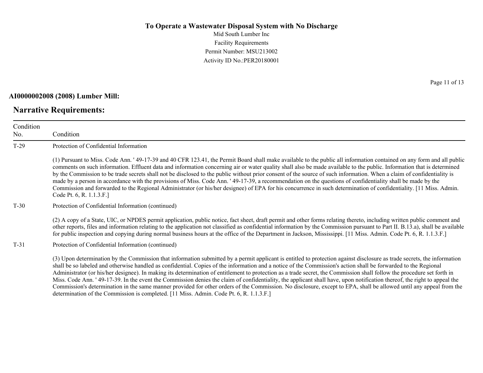Mid South Lumber Inc Facility Requirements Permit Number: MSU213002 Activity ID No.:PER20180001

#### **AI0000002008 (2008) Lumber Mill:**

#### **Narrative Requirements:**

Page 11 of 13

| Condition<br>No. | Condition                                                                                                                                                                                                                                                                                                                                                                                                                                                                                                                                                                                                                                                                                                                                                                                                                                                                                 |  |  |
|------------------|-------------------------------------------------------------------------------------------------------------------------------------------------------------------------------------------------------------------------------------------------------------------------------------------------------------------------------------------------------------------------------------------------------------------------------------------------------------------------------------------------------------------------------------------------------------------------------------------------------------------------------------------------------------------------------------------------------------------------------------------------------------------------------------------------------------------------------------------------------------------------------------------|--|--|
| $T-29$           | Protection of Confidential Information                                                                                                                                                                                                                                                                                                                                                                                                                                                                                                                                                                                                                                                                                                                                                                                                                                                    |  |  |
|                  | (1) Pursuant to Miss. Code Ann. '49-17-39 and 40 CFR 123.41, the Permit Board shall make available to the public all information contained on any form and all public<br>comments on such information. Effluent data and information concerning air or water quality shall also be made available to the public. Information that is determined<br>by the Commission to be trade secrets shall not be disclosed to the public without prior consent of the source of such information. When a claim of confidentiality is<br>made by a person in accordance with the provisions of Miss. Code Ann. '49-17-39, a recommendation on the questions of confidentiality shall be made by the<br>Commission and forwarded to the Regional Administrator (or his/her designee) of EPA for his concurrence in such determination of confidentiality. [11 Miss. Admin.<br>Code Pt. 6, R. 1.1.3.F.] |  |  |
| $T-30$           | Protection of Confidential Information (continued)                                                                                                                                                                                                                                                                                                                                                                                                                                                                                                                                                                                                                                                                                                                                                                                                                                        |  |  |
|                  | (2) A copy of a State, UIC, or NPDES permit application, public notice, fact sheet, draft permit and other forms relating thereto, including written public comment and<br>other reports, files and information relating to the application not classified as confidential information by the Commission pursuant to Part II. B.13.a), shall be available<br>for public inspection and copying during normal business hours at the office of the Department in Jackson, Mississippi. [11 Miss. Admin. Code Pt. 6, R. 1.1.3.F.]                                                                                                                                                                                                                                                                                                                                                            |  |  |
| $T-31$           | Protection of Confidential Information (continued)                                                                                                                                                                                                                                                                                                                                                                                                                                                                                                                                                                                                                                                                                                                                                                                                                                        |  |  |
|                  | (3) Upon determination by the Commission that information submitted by a permit applicant is entitled to protection against disclosure as trade secrets, the information<br>shall be so labeled and otherwise handled as confidential. Copies of the information and a notice of the Commission's action shall be forwarded to the Regional<br>Administrator (or his/her designee). In making its determination of entitlement to protection as a trade secret, the Commission shall follow the procedure set forth in<br>Miss. Code Ann. 149-17-39. In the event the Commission denies the claim of confidentiality, the applicant shall have, upon notification thereof, the right to appeal the<br>Commission's determination in the same manner provided for other orders of the Commission. No disclosure, except to EPA, shall be allowed until any appeal from the                 |  |  |

determination of the Commission is completed. [11 Miss. Admin. Code Pt. 6, R. 1.1.3.F.]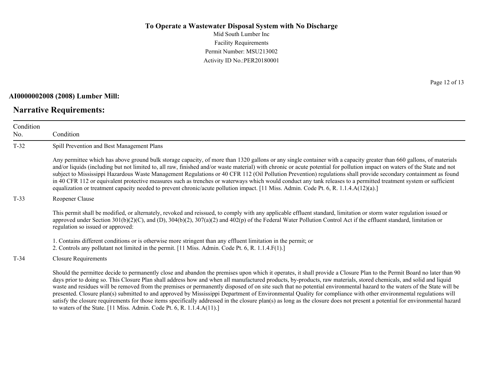Mid South Lumber Inc Facility Requirements Permit Number: MSU213002 Activity ID No.:PER20180001

#### **AI0000002008 (2008) Lumber Mill:**

### **Narrative Requirements:**

Page 12 of 13

| Condition<br>No. | Condition                                                                                                                                                                                                                                                                                                                                                                                                                                                                                                                                                                                                                                                                                                                                                                                                                                                                 |
|------------------|---------------------------------------------------------------------------------------------------------------------------------------------------------------------------------------------------------------------------------------------------------------------------------------------------------------------------------------------------------------------------------------------------------------------------------------------------------------------------------------------------------------------------------------------------------------------------------------------------------------------------------------------------------------------------------------------------------------------------------------------------------------------------------------------------------------------------------------------------------------------------|
| $T-32$           | Spill Prevention and Best Management Plans                                                                                                                                                                                                                                                                                                                                                                                                                                                                                                                                                                                                                                                                                                                                                                                                                                |
|                  | Any permittee which has above ground bulk storage capacity, of more than 1320 gallons or any single container with a capacity greater than 660 gallons, of materials<br>and/or liquids (including but not limited to, all raw, finished and/or waste material) with chronic or acute potential for pollution impact on waters of the State and not<br>subject to Mississippi Hazardous Waste Management Regulations or 40 CFR 112 (Oil Pollution Prevention) regulations shall provide secondary containment as found<br>in 40 CFR 112 or equivalent protective measures such as trenches or waterways which would conduct any tank releases to a permitted treatment system or sufficient<br>equalization or treatment capacity needed to prevent chronic/acute pollution impact. [11 Miss. Admin. Code Pt. 6, R. 1.1.4.A(12)(a).]                                       |
| $T-33$           | Reopener Clause                                                                                                                                                                                                                                                                                                                                                                                                                                                                                                                                                                                                                                                                                                                                                                                                                                                           |
|                  | This permit shall be modified, or alternately, revoked and reissued, to comply with any applicable effluent standard, limitation or storm water regulation issued or<br>approved under Section $301(b)(2)(C)$ , and (D), $304(b)(2)$ , $307(a)(2)$ and $402(p)$ of the Federal Water Pollution Control Act if the effluent standard, limitation or<br>regulation so issued or approved:                                                                                                                                                                                                                                                                                                                                                                                                                                                                                   |
|                  | 1. Contains different conditions or is otherwise more stringent than any effluent limitation in the permit; or<br>2. Controls any pollutant not limited in the permit. [11 Miss. Admin. Code Pt. 6, R. 1.1.4.F(1).]                                                                                                                                                                                                                                                                                                                                                                                                                                                                                                                                                                                                                                                       |
| $T-34$           | <b>Closure Requirements</b>                                                                                                                                                                                                                                                                                                                                                                                                                                                                                                                                                                                                                                                                                                                                                                                                                                               |
|                  | Should the permittee decide to permanently close and abandon the premises upon which it operates, it shall provide a Closure Plan to the Permit Board no later than 90<br>days prior to doing so. This Closure Plan shall address how and when all manufactured products, by-products, raw materials, stored chemicals, and solid and liquid<br>waste and residues will be removed from the premises or permanently disposed of on site such that no potential environmental hazard to the waters of the State will be<br>presented. Closure plan(s) submitted to and approved by Mississippi Department of Environmental Quality for compliance with other environmental regulations will<br>satisfy the closure requirements for those items specifically addressed in the closure plan(s) as long as the closure does not present a potential for environmental hazard |

to waters of the State. [11 Miss. Admin. Code Pt. 6, R. 1.1.4.A(11).]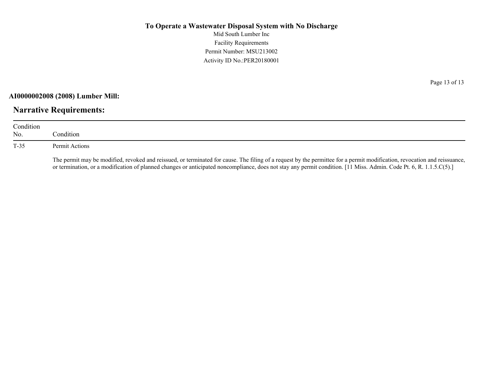Mid South Lumber Inc Facility Requirements Permit Number: MSU213002 Activity ID No.:PER20180001

**AI0000002008 (2008) Lumber Mill:**

## **Narrative Requirements:**

| Condition<br>No. | Condition:                                                                                                                                                                                                                                                                                                                                       |
|------------------|--------------------------------------------------------------------------------------------------------------------------------------------------------------------------------------------------------------------------------------------------------------------------------------------------------------------------------------------------|
| T-35             | Permit Actions                                                                                                                                                                                                                                                                                                                                   |
|                  | The permit may be modified, revoked and reissued, or terminated for cause. The filing of a request by the permittee for a permit modification, revocation and reissuance,<br>or termination, or a modification of planned changes or anticipated noncompliance, does not stay any permit condition. [11 Miss. Admin. Code Pt. 6, R. 1.1.5.C(5).] |

Page 13 of 13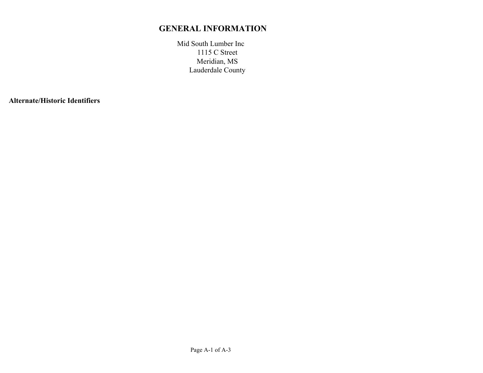## **GENERAL INFORMATION**

Mid South Lumber Inc Meridian, MS Lauderdale County 1115 C Street

**Alternate/Historic Identifiers**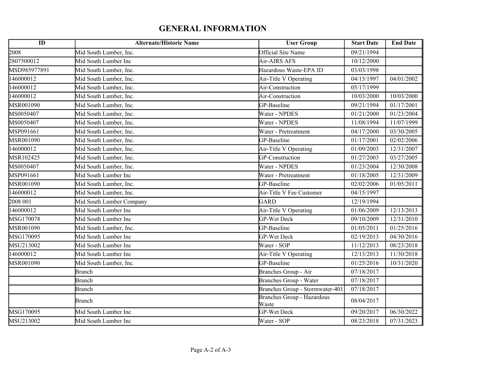## **GENERAL INFORMATION**

| $\overline{ID}$ | <b>Alternate/Historic Name</b> | <b>User Group</b>                          | <b>Start Date</b> | <b>End Date</b> |
|-----------------|--------------------------------|--------------------------------------------|-------------------|-----------------|
| 2008            | Mid South Lumber, Inc.         | Official Site Name                         | 09/21/1994        |                 |
| 2807500012      | Mid South Lumber Inc           | Air-AIRS AFS                               | 10/12/2000        |                 |
| MSD985977891    | Mid South Lumber, Inc.         | Hazardous Waste-EPA ID                     | 03/03/1998        |                 |
| 146000012       | Mid South Lumber, Inc.         | Air-Title V Operating                      | 04/15/1997        | 04/01/2002      |
| 146000012       | Mid South Lumber, Inc.         | Air-Construction                           | 05/17/1999        |                 |
| 146000012       | Mid South Lumber, Inc.         | Air-Construction                           | 10/03/2000        | 10/03/2000      |
| MSR001090       | Mid South Lumber, Inc.         | GP-Baseline                                | 09/21/1994        | 01/17/2001      |
| MS0050407       | Mid South Lumber, Inc.         | Water - NPDES                              | 01/21/2000        | 01/23/2004      |
| MS0050407       | Mid South Lumber, Inc.         | Water - NPDES                              | 11/08/1994        | 11/07/1999      |
| MSP091661       | Mid South Lumber, Inc.         | Water - Pretreatment                       | 04/17/2000        | 03/30/2005      |
| MSR001090       | Mid South Lumber, Inc.         | GP-Baseline                                | 01/17/2001        | 02/02/2006      |
| 146000012       | Mid South Lumber, Inc.         | Air-Title V Operating                      | 01/09/2003        | 12/31/2007      |
| MSR102425       | Mid South Lumber, Inc.         | GP-Construction                            | 01/27/2003        | 03/27/2005      |
| MS0050407       | Mid South Lumber, Inc.         | Water - NPDES                              | 01/23/2004        | 12/30/2008      |
| MSP091661       | Mid South Lumber Inc           | Water - Pretreatment                       | 01/18/2005        | 12/31/2009      |
| MSR001090       | Mid South Lumber, Inc.         | GP-Baseline                                | 02/02/2006        | 01/05/2011      |
| 146000012       | Mid South Lumber, Inc.         | Air-Title V Fee Customer                   | 04/15/1997        |                 |
| 2008 001        | Mid South Lumber Company       | GARD                                       | 12/19/1994        |                 |
| 146000012       | Mid South Lumber Inc           | Air-Title V Operating                      | 01/06/2009        | 12/13/2013      |
| MSG170078       | Mid South Lumber Inc           | <b>GP-Wet Deck</b>                         | 09/10/2009        | 12/31/2010      |
| MSR001090       | Mid South Lumber, Inc.         | GP-Baseline                                | 01/05/2011        | 01/25/2016      |
| MSG170095       | Mid South Lumber Inc           | GP-Wet Deck                                | 02/19/2013        | 04/30/2016      |
| MSU213002       | Mid South Lumber Inc           | Water - SOP                                | 11/12/2013        | 08/23/2018      |
| 146000012       | Mid South Lumber Inc           | Air-Title V Operating                      | 12/13/2013        | 11/30/2018      |
| MSR001090       | Mid South Lumber, Inc.         | GP-Baseline                                | 01/25/2016        | 10/31/2020      |
|                 | <b>Branch</b>                  | Branches Group - Air                       | 07/18/2017        |                 |
|                 | Branch                         | <b>Branches Group - Water</b>              | 07/18/2017        |                 |
|                 | <b>Branch</b>                  | Branches Group - Stormwater-401            | 07/18/2017        |                 |
|                 | <b>Branch</b>                  | <b>Branches Group - Hazardous</b><br>Waste | 08/04/2017        |                 |
| MSG170095       | Mid South Lumber Inc           | <b>GP-Wet Deck</b>                         | 09/20/2017        | 06/30/2022      |
| MSU213002       | Mid South Lumber Inc           | Water - SOP                                | 08/23/2018        | 07/31/2023      |